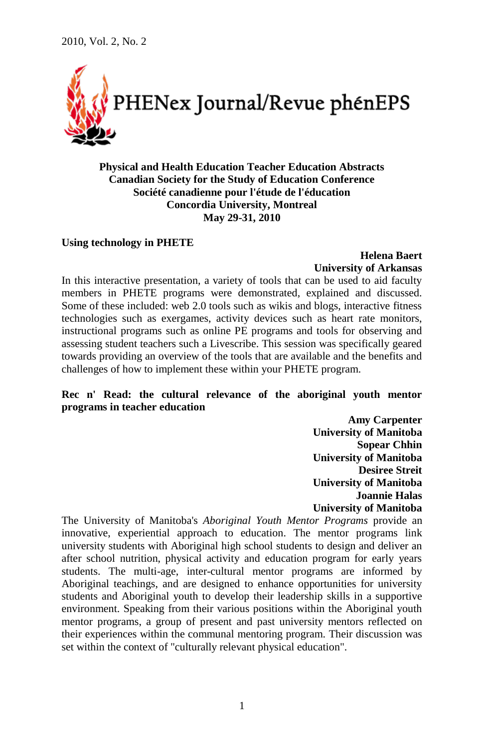

**Physical and Health Education Teacher Education Abstracts Canadian Society for the Study of Education Conference Société canadienne pour l'étude de l'éducation Concordia University, Montreal May 29-31, 2010**

#### **Using technology in PHETE**

# **Helena Baert University of Arkansas**

In this interactive presentation, a variety of tools that can be used to aid faculty members in PHETE programs were demonstrated, explained and discussed. Some of these included: web 2.0 tools such as wikis and blogs, interactive fitness technologies such as exergames, activity devices such as heart rate monitors, instructional programs such as online PE programs and tools for observing and assessing student teachers such a Livescribe. This session was specifically geared towards providing an overview of the tools that are available and the benefits and challenges of how to implement these within your PHETE program.

# **Rec n' Read: the cultural relevance of the aboriginal youth mentor programs in teacher education**

**Amy Carpenter University of Manitoba Sopear Chhin University of Manitoba Desiree Streit University of Manitoba Joannie Halas University of Manitoba**

The University of Manitoba's *Aboriginal Youth Mentor Programs* provide an innovative, experiential approach to education. The mentor programs link university students with Aboriginal high school students to design and deliver an after school nutrition, physical activity and education program for early years students. The multi-age, inter-cultural mentor programs are informed by Aboriginal teachings, and are designed to enhance opportunities for university students and Aboriginal youth to develop their leadership skills in a supportive environment. Speaking from their various positions within the Aboriginal youth mentor programs, a group of present and past university mentors reflected on their experiences within the communal mentoring program. Their discussion was set within the context of "culturally relevant physical education".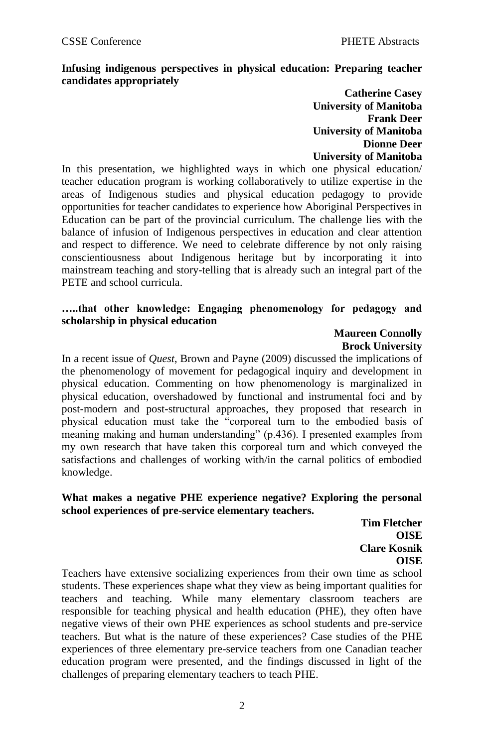# **Infusing indigenous perspectives in physical education: Preparing teacher candidates appropriately**

**Catherine Casey University of Manitoba Frank Deer University of Manitoba Dionne Deer University of Manitoba**

In this presentation, we highlighted ways in which one physical education/ teacher education program is working collaboratively to utilize expertise in the areas of Indigenous studies and physical education pedagogy to provide opportunities for teacher candidates to experience how Aboriginal Perspectives in Education can be part of the provincial curriculum. The challenge lies with the balance of infusion of Indigenous perspectives in education and clear attention and respect to difference. We need to celebrate difference by not only raising conscientiousness about Indigenous heritage but by incorporating it into mainstream teaching and story-telling that is already such an integral part of the PETE and school curricula.

## **…..that other knowledge: Engaging phenomenology for pedagogy and scholarship in physical education**

## **Maureen Connolly Brock University**

In a recent issue of *Quest*, Brown and Payne (2009) discussed the implications of the phenomenology of movement for pedagogical inquiry and development in physical education. Commenting on how phenomenology is marginalized in physical education, overshadowed by functional and instrumental foci and by post-modern and post-structural approaches, they proposed that research in physical education must take the "corporeal turn to the embodied basis of meaning making and human understanding" (p.436). I presented examples from my own research that have taken this corporeal turn and which conveyed the satisfactions and challenges of working with/in the carnal politics of embodied knowledge.

## **What makes a negative PHE experience negative? Exploring the personal school experiences of pre-service elementary teachers.**

**Tim Fletcher OISE Clare Kosnik OISE**

Teachers have extensive socializing experiences from their own time as school students. These experiences shape what they view as being important qualities for teachers and teaching. While many elementary classroom teachers are responsible for teaching physical and health education (PHE), they often have negative views of their own PHE experiences as school students and pre-service teachers. But what is the nature of these experiences? Case studies of the PHE experiences of three elementary pre-service teachers from one Canadian teacher education program were presented, and the findings discussed in light of the challenges of preparing elementary teachers to teach PHE.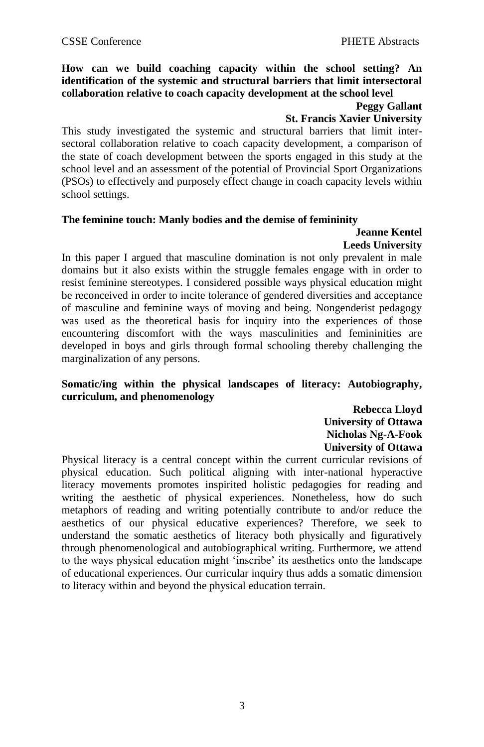# **How can we build coaching capacity within the school setting? An identification of the systemic and structural barriers that limit intersectoral collaboration relative to coach capacity development at the school level**

# **Peggy Gallant**

# **St. Francis Xavier University**

This study investigated the systemic and structural barriers that limit intersectoral collaboration relative to coach capacity development, a comparison of the state of coach development between the sports engaged in this study at the school level and an assessment of the potential of Provincial Sport Organizations (PSOs) to effectively and purposely effect change in coach capacity levels within school settings.

### **The feminine touch: Manly bodies and the demise of femininity**

#### **Jeanne Kentel Leeds University**

In this paper I argued that masculine domination is not only prevalent in male domains but it also exists within the struggle females engage with in order to resist feminine stereotypes. I considered possible ways physical education might be reconceived in order to incite tolerance of gendered diversities and acceptance of masculine and feminine ways of moving and being. Nongenderist pedagogy was used as the theoretical basis for inquiry into the experiences of those encountering discomfort with the ways masculinities and femininities are developed in boys and girls through formal schooling thereby challenging the marginalization of any persons.

# **Somatic/ing within the physical landscapes of literacy: Autobiography, curriculum, and phenomenology**

**Rebecca Lloyd University of Ottawa Nicholas Ng-A-Fook University of Ottawa**

Physical literacy is a central concept within the current curricular revisions of physical education. Such political aligning with inter-national hyperactive literacy movements promotes inspirited holistic pedagogies for reading and writing the aesthetic of physical experiences. Nonetheless, how do such metaphors of reading and writing potentially contribute to and/or reduce the aesthetics of our physical educative experiences? Therefore, we seek to understand the somatic aesthetics of literacy both physically and figuratively through phenomenological and autobiographical writing. Furthermore, we attend to the ways physical education might "inscribe" its aesthetics onto the landscape of educational experiences. Our curricular inquiry thus adds a somatic dimension to literacy within and beyond the physical education terrain.